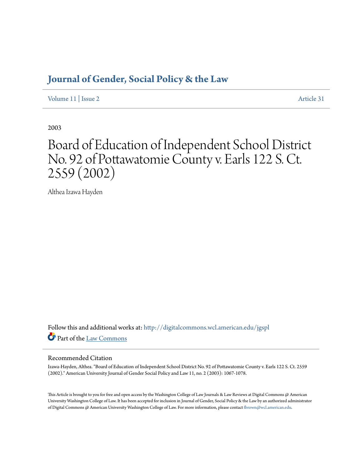# **[Journal of Gender, Social Policy & the Law](http://digitalcommons.wcl.american.edu/jgspl?utm_source=digitalcommons.wcl.american.edu%2Fjgspl%2Fvol11%2Fiss2%2F31&utm_medium=PDF&utm_campaign=PDFCoverPages)**

[Volume 11](http://digitalcommons.wcl.american.edu/jgspl/vol11?utm_source=digitalcommons.wcl.american.edu%2Fjgspl%2Fvol11%2Fiss2%2F31&utm_medium=PDF&utm_campaign=PDFCoverPages) | [Issue 2](http://digitalcommons.wcl.american.edu/jgspl/vol11/iss2?utm_source=digitalcommons.wcl.american.edu%2Fjgspl%2Fvol11%2Fiss2%2F31&utm_medium=PDF&utm_campaign=PDFCoverPages) [Article 31](http://digitalcommons.wcl.american.edu/jgspl/vol11/iss2/31?utm_source=digitalcommons.wcl.american.edu%2Fjgspl%2Fvol11%2Fiss2%2F31&utm_medium=PDF&utm_campaign=PDFCoverPages)

2003

# Board of Education of Independent School District No. 92 of Pottawatomie County v. Earls 122 S. Ct. 2559 (2002)

Althea Izawa Hayden

Follow this and additional works at: [http://digitalcommons.wcl.american.edu/jgspl](http://digitalcommons.wcl.american.edu/jgspl?utm_source=digitalcommons.wcl.american.edu%2Fjgspl%2Fvol11%2Fiss2%2F31&utm_medium=PDF&utm_campaign=PDFCoverPages) Part of the [Law Commons](http://network.bepress.com/hgg/discipline/578?utm_source=digitalcommons.wcl.american.edu%2Fjgspl%2Fvol11%2Fiss2%2F31&utm_medium=PDF&utm_campaign=PDFCoverPages)

### Recommended Citation

Izawa-Hayden, Althea. "Board of Education of Independent School District No. 92 of Pottawatomie County v. Earls 122 S. Ct. 2559 (2002)." American University Journal of Gender Social Policy and Law 11, no. 2 (2003): 1067-1078.

This Article is brought to you for free and open access by the Washington College of Law Journals & Law Reviews at Digital Commons @ American University Washington College of Law. It has been accepted for inclusion in Journal of Gender, Social Policy & the Law by an authorized administrator of Digital Commons @ American University Washington College of Law. For more information, please contact [fbrown@wcl.american.edu.](mailto:fbrown@wcl.american.edu)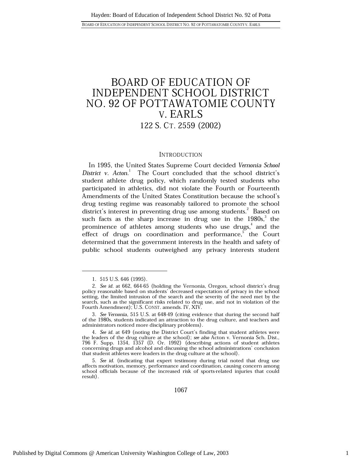## **BOARD OF EDUCATION OF** INDEPENDENT SCHOOL DISTRICT NO. 92 OF POTTAWATOMIE COUNTY V. EARLS 122 S. CT. 2559 (2002)

### **INTRODUCTION**

In 1995, the United States Supreme Court decided Vernonia School District v. Acton.<sup>1</sup> The Court concluded that the school district's student athlete drug policy, which randomly tested students who participated in athletics, did not violate the Fourth or Fourteenth Amendments of the United States Constitution because the school's drug testing regime was reasonably tailored to promote the school district's interest in preventing drug use among students.<sup>2</sup> Based on such facts as the sharp increase in drug use in the  $1980s$ , the prominence of athletes among students who use drugs,<sup>4</sup> and the effect of drugs on coordination and performance,<sup>b</sup> the Court determined that the government interests in the health and safety of public school students outweighed any privacy interests student

1067

<sup>1. 515</sup> U.S. 646 (1995).

<sup>2.</sup> See id. at 662, 664-65 (holding the Vernonia, Oregon, school district's drug policy reasonable based on students' decreased expectation of privacy in the school setting, the limited intrusion of the search and the severity of the need met by the search, such as the significant risks related to drug use, and not in violation of the Fourth Amendment); U.S. CONST. amends. IV, XIV.

<sup>3.</sup> See Vernonia, 515 U.S. at 648-49 (citing evidence that during the second half of the 1980s, students indicated an attraction to the drug culture, and teachers and administrators noticed more disciplinary problems).

<sup>4.</sup> See id. at 649 (noting the District Court's finding that student athletes were the leaders of the drug culture at the school); see also Acton v. Vernonia Sch. Dist., 796 F. Supp. 1354, 1357 (D. Or. 1992) (describing actions of student athletes concerning drugs and alcohol and discussing the school administrations' conclusion that student athletes were leaders in the drug culture at the school).

<sup>5.</sup> See id. (indicating that expert testimony during trial noted that drug use affects motivation, memory, performance and coordination, causing concern among school officials because of the increased risk of sports-related injuries that could result).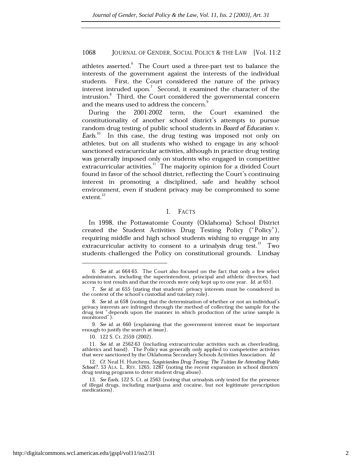athletes asserted.<sup>6</sup> The Court used a three-part test to balance the interests of the government against the interests of the individual students. First, the Court considered the nature of the privacy interest intruded upon.<sup>7</sup> Second, it examined the character of the intrusion.<sup>8</sup> Third, the Court considered the governmental concern and the means used to address the concern.

During the 2001-2002 term, the Court examined the constitutionality of another school district's attempts to pursue random drug testing of public school students in Board of Education v. Earls.<sup>10</sup> In this case, the drug testing was imposed not only on athletes, but on all students who wished to engage in any schoolsanctioned extracurricular activities, although in practice drug testing was generally imposed only on students who engaged in competitive extracurricular activities.<sup>11</sup> The majority opinion for a divided Court found in favor of the school district, reflecting the Court's continuing interest in promoting a disciplined, safe and healthy school environment, even if student privacy may be compromised to some  $extent.<sup>12</sup>$ 

#### I. FACTS

In 1998, the Pottawatomie County (Oklahoma) School District created the Student Activities Drug Testing Policy ("Policy"), requiring middle and high school students wishing to engage in any extracurricular activity to consent to a urinalysis drug test.<sup>13</sup> Two students challenged the Policy on constitutional grounds. Lindsay

10. 122 S. Ct. 2559 (2002).

<sup>6.</sup> See id. at 664-65. The Court also focused on the fact that only a few select administrators, including the superintendent, principal and athletic directors, had access to test results and that the records were only kept up to one year. Id. at 651.

<sup>7.</sup> See id. at 655 (stating that students' privacy interests must be considered in the context of the school's custodial and tutelary role).

<sup>8.</sup> See id. at 658 (noting that the determination of whether or not an individual's privacy interests are infringed through the method of collecting the sample for the drug test "depends upon the manner in which production of the urine sample is monitored").

<sup>9.</sup> See id. at 660 (explaining that the government interest must be important enough to justify the search at issue).

<sup>11.</sup> See id. at 2562-63 (including extracurricular activities such as cheerleading, athletics and band). The Policy was generally only applied to competetive activities that were sanctioned by the Oklahoma Secondary Schools Activities Association. Id.

<sup>12.</sup> Cf. Neal H. Hutchens, Suspicionless Drug Testing: The Tuition for Attending Public School?, 53 ALA. L. REV. 1265, 1287 (noting the recent expansion in school districts' drug testing programs to deter student drug abuse).

<sup>13.</sup> See Earls, 122 S. Ct. at 2563 (noting that urinalysis only tested for the presence of illegal drugs, including marijuana and cocaine, but not legitimate prescription medications).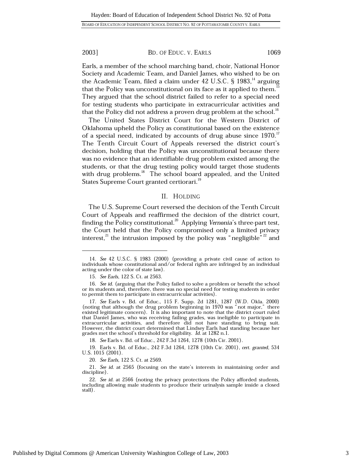BD. OF EDUC. V. EARLS

Earls, a member of the school marching band, choir, National Honor Society and Academic Team, and Daniel James, who wished to be on the Academic Team, filed a claim under 42 U.S.C.  $\S$  1983,  $^{14}$  arguing that the Policy was unconstitutional on its face as it applied to them. They argued that the school district failed to refer to a special need for testing students who participate in extracurricular activities and that the Policy did not address a proven drug problem at the school.<sup>16</sup>

The United States District Court for the Western District of Oklahoma upheld the Policy as constitutional based on the existence of a special need, indicated by accounts of drug abuse since 1970.<sup>17</sup> The Tenth Circuit Court of Appeals reversed the district court's decision, holding that the Policy was unconstitutional because there was no evidence that an identifiable drug problem existed among the students, or that the drug testing policy would target those students with drug problems.<sup>18</sup> The school board appealed, and the United States Supreme Court granted certiorari.<sup>19</sup>

### II. HOLDING

The U.S. Supreme Court reversed the decision of the Tenth Circuit Court of Appeals and reaffirmed the decision of the district court, finding the Policy constitutional.<sup>20</sup> Applying Vernonia's three-part test, the Court held that the Policy compromised only a limited privacy interest,  $2^2$  the intrusion imposed by the policy was "negligible"  $2^2$  and

18. See Earls v. Bd. of Educ., 242 F.3d 1264, 1278 (10th Cir. 2001).

19. Earls v. Bd. of Educ., 242 F.3d 1264, 1278 (10th Cir. 2001), cert. granted, 534 U.S. 1015 (2001).

20. See Earls, 122 S. Ct. at 2569.

1069

<sup>14.</sup> See 42 U.S.C. § 1983 (2000) (providing a private civil cause of action to individuals whose constitutional and/or federal rights are infringed by an individual acting under the color of state law).

<sup>15.</sup> See Earls, 122 S. Ct. at 2563.

<sup>16.</sup> See id. (arguing that the Policy failed to solve a problem or benefit the school or its students and, therefore, there was no special need for testing students in order to permit them to participate in extracurricular activities).

<sup>17.</sup> See Earls v. Bd. of Educ., 115 F. Supp. 2d 1281, 1287 (W.D. Okla. 2000) (noting that although the drug problem beginning in 1970 was "not major," there existed legitimate concern). It is also important to note that the district court ruled that Daniel James, who was receiving failing grades, was ineligible to participate in extracurricular activities, and therefore did not have standing to bring suit. However, the district court determined that Lindsey Earls had standing because her grades met the school's threshold for eligibility. Id. at 1282 n.1.

<sup>21.</sup> See id. at 2565 (focusing on the state's interests in maintaining order and discipline).

<sup>22.</sup> See id. at 2566 (noting the privacy protections the Policy afforded students, including allowing male students to produce their urinalysis sample inside a closed stall).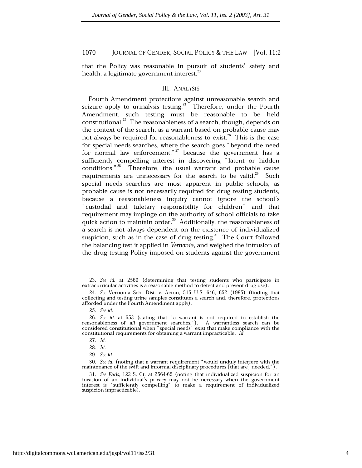that the Policy was reasonable in pursuit of students' safety and health, a legitimate government interest.<sup>23</sup>

### **III. ANALYSIS**

Fourth Amendment protections against unreasonable search and seizure apply to urinalysis testing.<sup>24</sup> Therefore, under the Fourth Amendment, such testing must be reasonable to be held constitutional.<sup>25</sup> The reasonableness of a search, though, depends on the context of the search, as a warrant based on probable cause may not always be required for reasonableness to exist.<sup>26</sup> This is the case for special needs searches, where the search goes "beyond the need for normal law enforcement,"<sup>27</sup> because the government has a sufficiently compelling interest in discovering "latent or hidden conditions."<sup>28</sup> Therefore, the usual warrant and probable cause requirements are unnecessary for the search to be valid.<sup>29</sup> Such special needs searches are most apparent in public schools, as probable cause is not necessarily required for drug testing students, because a reasonableness inquiry cannot ignore the school's "custodial and tuletary responsibility for children" and that requirement may impinge on the authority of school officials to take quick action to maintain order.<sup>30</sup> Additionally, the reasonableness of a search is not always dependent on the existence of individualized suspicion, such as in the case of drug testing. $31$  The Court followed the balancing test it applied in Vernonia, and weighed the intrusion of the drug testing Policy imposed on students against the government

<sup>23.</sup> See id. at 2569 (determining that testing students who participate in extracurricular activities is a reasonable method to detect and prevent drug use).

<sup>24.</sup> See Vernonia Sch. Dist. v. Acton, 515 U.S. 646, 652 (1995) (finding that collecting and testing urine samples constitutes a search and, therefore, protections afforded under the Fourth Amendment apply).

<sup>25.</sup> See id.

<sup>26.</sup> See id. at 653 (stating that "a warrant is not required to establish the reasonableness of all government searches."). A warrantless search can be considered constitutional when "special needs" exist that make compliance with the constitutional requirements for obtaining a warrant impracticable. Id.

<sup>27.</sup> Id.

<sup>28.</sup> Id.

<sup>29.</sup> See id.

<sup>30.</sup> See id. (noting that a warrant requirement "would unduly interfere with the maintenance of the swift and informal disciplinary procedures [that are] needed.").

<sup>31.</sup> See Earls, 122 S. Ct. at 2564-65 (noting that individualized suspicion for an invasion of an individual's privacy may not be necessary when the government interest is "sufficiently compelling" to make a requirement of individualized suspicion impracticable).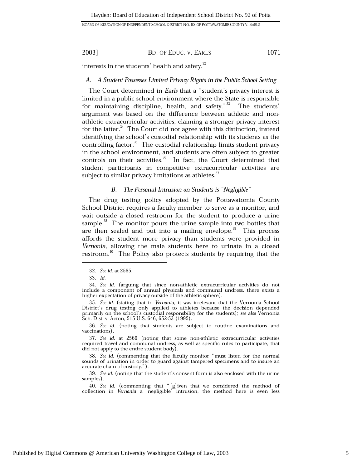BOARD OF EDUCATION OF INDEPENDENT SCHOOL DISTRICT NO. 92 OF POTTAWATOMIE COUNTY V. EARLS

2003]

### BD. OF EDUC. V. EARLS

1071

interests in the students' health and safety.<sup>32</sup>

### A. A Student Possesses Limited Privacy Rights in the Public School Setting

The Court determined in Earls that a "student's privacy interest is limited in a public school environment where the State is responsible for maintaining discipline, health, and safety."<sup>33</sup> The students' argument was based on the difference between athletic and nonathletic extracurricular activities, claiming a stronger privacy interest for the latter.<sup>34</sup> The Court did not agree with this distinction, instead identifying the school's custodial relationship with its students as the controlling factor.<sup>35</sup> The custodial relationship limits student privacy in the school environment, and students are often subject to greater controls on their activities.<sup>36</sup> In fact, the Court determined that student participants in competitive extracurricular activities are subject to similar privacy limitations as athletes. $^{37}$ 

#### The Personal Intrusion on Students is "Negligible" *B*.

The drug testing policy adopted by the Pottawatomie County School District requires a faculty member to serve as a monitor, and wait outside a closed restroom for the student to produce a urine sample.<sup>38</sup> The monitor pours the urine sample into two bottles that are then sealed and put into a mailing envelope.<sup>39</sup> This process affords the student more privacy than students were provided in Vernonia, allowing the male students here to urinate in a closed restroom.<sup>40</sup> The Policy also protects students by requiring that the

36. See id. (noting that students are subject to routine examinations and vaccinations).

37. See id. at 2566 (noting that some non-athletic extracurricular activities required travel and communal undress, as well as specific rules to participate, that did not apply to the entire student body).

38. See id. (commenting that the faculty monitor "must listen for the normal sounds of urination in order to guard against tampered specimens and to insure an accurate chain of custody.").

39. See id. (noting that the student's consent form is also enclosed with the urine samples).

40. See id. (commenting that "[g]iven that we considered the method of collection in Vernonia a 'negligible' intrusion, the method here is even less

<sup>32.</sup> See id. at 2565.

 $33.$  Id.

<sup>34.</sup> See id. (arguing that since non-athletic extracurricular activities do not include a component of annual physicals and communal undress, there exists a higher expectation of privacy outside of the athletic sphere).

<sup>35.</sup> See id. (stating that in Vernonia, it was irrelevant that the Vernonia School District's drug testing only applied to athletes because the decision depended primarily on the school's custodial responsbility for the students); see also Vernonia Sch. Dist. v. Acton, 515 U.S. 646, 652-53 (1995).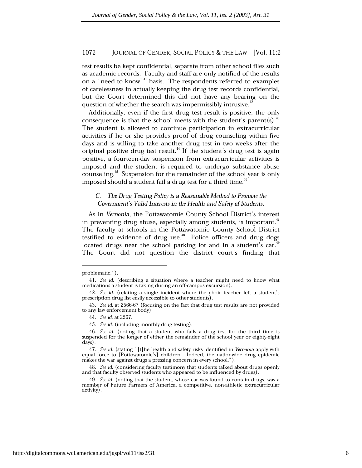test results be kept confidential, separate from other school files such as academic records. Faculty and staff are only notified of the results on a "need to know"<sup>41</sup> basis. The respondents referred to examples of carelessness in actually keeping the drug test records confidential, but the Court determined this did not have any bearing on the question of whether the search was impermissibly intrusive.<sup>43</sup>

Additionally, even if the first drug test result is positive, the only consequence is that the school meets with the student's parent(s).<sup>43</sup> The student is allowed to continue participation in extracurricular activities if he or she provides proof of drug counseling within five days and is willing to take another drug test in two weeks after the original positive drug test result.<sup>44</sup> If the student's drug test is again positive, a fourteen-day suspension from extracurricular activities is imposed and the student is required to undergo substance abuse counseling.<sup>45</sup> Suspension for the remainder of the school year is only imposed should a student fail a drug test for a third time.<sup>46</sup>

### C. The Drug Testing Policy is a Reasonable Method to Promote the Government's Valid Interests in the Health and Safety of Students.

As in Vernonia, the Pottawatomie County School District's interest in preventing drug abuse, especially among students, is important.<sup>47</sup> The faculty at schools in the Pottawatomie County School District testified to evidence of drug use.<sup>48</sup> Police officers and drug dogs located drugs near the school parking lot and in a student's car.<sup>41</sup> The Court did not question the district court's finding that

problematic.").

<sup>41.</sup> See id. (describing a situation where a teacher might need to know what medications a student is taking during an off-campus excursion).

<sup>42.</sup> See id. (relating a single incident where the choir teacher left a student's prescription drug list easily accessible to other students).

<sup>43.</sup> See id. at 2566-67 (focusing on the fact that drug test results are not provided to any law enforcement body).

<sup>44.</sup> See id. at 2567.

<sup>45.</sup> See id. (including monthly drug testing).

<sup>46.</sup> See id. (noting that a student who fails a drug test for the third time is suspended for the longer of either the remainder of the school year or eighty-eight days).

<sup>47.</sup> See id. (stating "[t] he health and safety risks identified in Vernonia apply with equal force to [Pottowatomie's] children. Indeed, the nationwide drug epidemic makes the war against drugs a pressing concern in every school.").

<sup>48.</sup> See id. (considering faculty testimony that students talked about drugs openly and that faculty observed students who appeared to be influenced by drugs).

<sup>49.</sup> See id. (noting that the student, whose car was found to contain drugs, was a member of Future Farmers of America, a competitive, non-athletic extracurricular activity).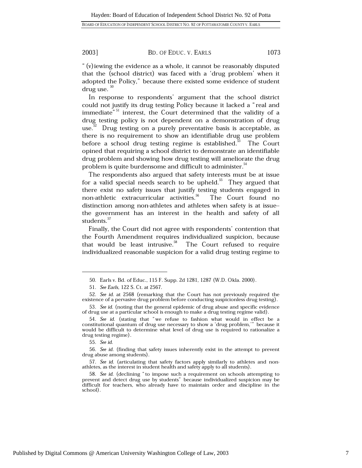### BD. OF EDUC. V. EARLS

1073

" (v) iewing the evidence as a whole, it cannot be reasonably disputed that the (school district) was faced with a 'drug problem' when it adopted the Policy," because there existed some evidence of student drug use.  $50$ 

In response to respondents' argument that the school district could not justify its drug testing Policy because it lacked a "real and immediate"<sup>31</sup> interest, the Court determined that the validity of a drug testing policy is not dependent on a demonstration of drug use.<sup>52</sup> Drug testing on a purely preventative basis is acceptable, as there is no requirement to show an identifiable drug use problem before a school drug testing regime is established.<sup>33</sup> The Court opined that requiring a school district to demonstrate an identifiable drug problem and showing how drug testing will ameliorate the drug problem is quite burdensome and difficult to administer.<sup>34</sup>

The respondents also argued that safety interests must be at issue for a valid special needs search to be upheld. $55$  They argued that there exist no safety issues that justify testing students engaged in non-athletic extracurricular activities.<sup>56</sup> The Court found no distinction among non-athletes and athletes when safety is at issuethe government has an interest in the health and safety of all students.<sup>57</sup>

Finally, the Court did not agree with respondents' contention that the Fourth Amendment requires individualized suspicion, because that would be least intrusive.<sup>58</sup> The Court refused to require individualized reasonable suspicion for a valid drug testing regime to

<sup>50.</sup> Earls v. Bd. of Educ., 115 F. Supp. 2d 1281, 1287 (W.D. Okla. 2000).

<sup>51.</sup> See Earls, 122 S. Ct. at 2567.

<sup>52.</sup> See id. at 2568 (remarking that the Court has not previously required the existence of a pervasive drug problem before conducting suspicionless drug testing).

<sup>53.</sup> See id. (noting that the general epidemic of drug abuse and specific evidence of drug use at a particular school is enough to make a drug testing regime valid).

<sup>54.</sup> See id. (stating that "we refuse to fashion what would in effect be a constitutional quantum of drug use necessary to show a 'drug problem,'" because it would be difficult to determine what level of drug use is required to rationalize a drug testing regime).

<sup>55.</sup> See id.

<sup>56.</sup> See id. (finding that safety issues inherently exist in the attempt to prevent drug abuse among students).

<sup>57.</sup> See id. (articulating that safety factors apply similarly to athletes and nonathletes, as the interest in student health and safety apply to all students).

<sup>58.</sup> See id. (declining "to impose such a requirement on schools attempting to prevent and detect drug use by students" because individualized suspicion may be difficult for teachers, who already have to maintain order and discipline in the school).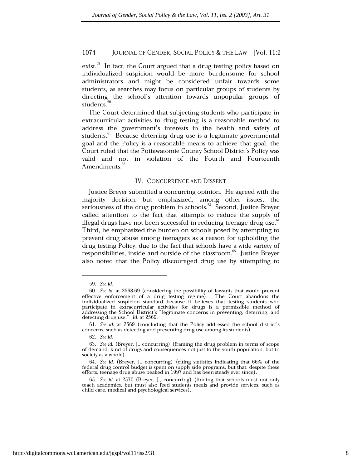exist.<sup>59</sup> In fact, the Court argued that a drug testing policy based on individualized suspicion would be more burdensome for school administrators and might be considered unfair towards some students, as searches may focus on particular groups of students by directing the school's attention towards unpopular groups of students.<sup>6</sup>

The Court determined that subjecting students who participate in extracurricular activities to drug testing is a reasonable method to address the government's interests in the health and safety of students.<sup>61</sup> Because deterring drug use is a legitimate governmental goal and the Policy is a reasonable means to achieve that goal, the Court ruled that the Pottawatomie County School District's Policy was valid and not in violation of the Fourth and Fourteenth Amendments.<sup>62</sup>

### IV. CONCURRENCE AND DISSENT

Justice Breyer submitted a concurring opinion. He agreed with the majority decision, but emphasized, among other issues, the seriousness of the drug problem in schools.<sup>63</sup> Second, Justice Brever called attention to the fact that attempts to reduce the supply of illegal drugs have not been successful in reducing teenage drug use.<sup>64</sup> Third, he emphasized the burden on schools posed by attempting to prevent drug abuse among teenagers as a reason for upholding the drug testing Policy, due to the fact that schools have a wide variety of responsibilities, inside and outside of the classroom.<sup>65</sup> Justice Breyer also noted that the Policy discouraged drug use by attempting to

<sup>59.</sup> See id.

<sup>60.</sup> See id. at 2568-69 (considering the possibility of lawsuits that would prevent effective enforcement of a drug testing regime). The Court abandons the individualized suspicion standard because it believes that testing students who participate in extracurricular activities for drugs is a permissible method of addressing the School District's "legitimate concerns in preventing, deterring, and detecting drug use." Id. at 2569.

<sup>61.</sup> See id. at 2569 (concluding that the Policy addressed the school district's concerns, such as detecting and preventing drug use among its students).

<sup>62.</sup> See id.

<sup>63.</sup> See id. (Breyer, J., concurring) (framing the drug problem in terms of scope of demand, kind of drugs and consequences not just to the youth population, but to society as a whole).

<sup>64.</sup> See id. (Brever, J., concurring) (citing statistics indicating that 66% of the federal drug control budget is spent on supply side programs, but that, despite these efforts, teenage drug abuse peaked in 1997 and has been steady ever since).

<sup>65.</sup> See id. at 2570 (Breyer, J., concurring) (finding that schools must not only teach academics, but must also feed students meals and provide services, such as child care, medical and psychological services).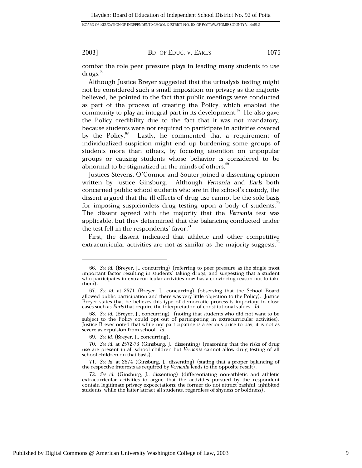### BD. OF EDUC. V. EARLS

1075

combat the role peer pressure plays in leading many students to use  $drugs.^{\circ\circ}$ 

Although Justice Brever suggested that the urinalysis testing might not be considered such a small imposition on privacy as the majority believed, he pointed to the fact that public meetings were conducted as part of the process of creating the Policy, which enabled the community to play an integral part in its development.<sup>67</sup> He also gave the Policy credibility due to the fact that it was not mandatory, because students were not required to participate in activities covered by the Policy.<sup>68</sup> Lastly, he commented that a requirement of individualized suspicion might end up burdening some groups of students more than others, by focusing attention on unpopular groups or causing students whose behavior is considered to be abnormal to be stigmatized in the minds of others.<sup>69</sup>

Justices Stevens, O'Connor and Souter joined a dissenting opinion written by Justice Ginsburg. Although Vernonia and Earls both concerned public school students who are in the school's custody, the dissent argued that the ill effects of drug use cannot be the sole basis for imposing suspicionless drug testing upon a body of students. $\frac{1}{10}$ The dissent agreed with the majority that the Vernonia test was applicable, but they determined that the balancing conducted under the test fell in the respondents' favor.<sup>11</sup>

First, the dissent indicated that athletic and other competitive extracurricular activities are not as similar as the majority suggests.<sup>72</sup>

<sup>66.</sup> See id. (Breyer, J., concurring) (referring to peer pressure as the single most important factor resulting in students' taking drugs, and suggesting that a student who participates in extracurricular activities now has a convincing reason not to take them).

<sup>67.</sup> See id. at 2571 (Breyer, J., concurring) (observing that the School Board allowed public participation and there was very little objection to the Policy). Justice Breyer states that he believes this type of democratic process is important in close cases such as *Earls* that require the interpretation of constitutional values. Id.

<sup>68.</sup> See id. (Breyer, J., concurring) (noting that students who did not want to be subject to the Policy could opt out of participating in extracurricular activities). Justice Breyer noted that while not participating is a serious price to pay, it is not as severe as expulsion from school. Id.

<sup>69.</sup> See id. (Breyer, J., concurring).

<sup>70.</sup> See id. at 2572-73 (Ginsburg, J., dissenting) (reasoning that the risks of drug use are present in all school children but Vernonia cannot allow drug testing of all school children on that basis).

<sup>71.</sup> See id. at 2574 (Ginsburg, J., dissenting) (stating that a proper balancing of the respective interests as required by Vernonia leads to the opposite result).

<sup>72.</sup> See id. (Ginsburg, J., dissenting) (differentiating non-athletic and athletic extracurricular activities to argue that the activities pursued by the respondent contain legitimate privacy expectations; the former do not attract bashful, inhibited students, while the latter attract all students, regardless of shyness or boldness).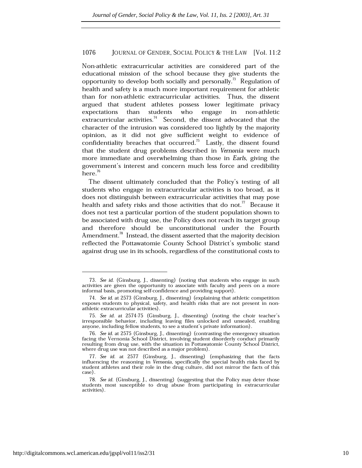Non-athletic extracurricular activities are considered part of the educational mission of the school because they give students the opportunity to develop both socially and personally.<sup>73</sup> Regulation of health and safety is a much more important requirement for athletic than for non-athletic extracurricular activities. Thus, the dissent argued that student athletes possess lower legitimate privacy who expectations than students engage in non-athletic extracurricular activities.<sup>74</sup> Second, the dissent advocated that the character of the intrusion was considered too lightly by the majority opinion, as it did not give sufficient weight to evidence of confidentiality breaches that occurred.<sup>75</sup> Lastly, the dissent found that the student drug problems described in Vernonia were much more immediate and overwhelming than those in Earls, giving the government's interest and concern much less force and credibility  $here.<sup>76</sup>$ 

The dissent ultimately concluded that the Policy's testing of all students who engage in extracurricular activities is too broad, as it does not distinguish between extracurricular activities that may pose health and safety risks and those activities that do not.<sup>77</sup> Because it does not test a particular portion of the student population shown to be associated with drug use, the Policy does not reach its target group and therefore should be unconstitutional under the Fourth Amendment.<sup>78</sup> Instead, the dissent asserted that the majority decision reflected the Pottawatomie County School District's symbolic stand against drug use in its schools, regardless of the constitutional costs to

<sup>73.</sup> See id. (Ginsburg, J., dissenting) (noting that students who engage in such activities are given the opportunity to associate with faculty and peers on a more informal basis, promoting self-confidence and providing support).

<sup>74.</sup> See id. at 2573 (Ginsburg, J., dissenting) (explaining that athletic competition exposes students to physical, safety, and health risks that are not present in nonathletic extracurricular activities).

<sup>75.</sup> See id. at 2574-75 (Ginsburg, J., dissenting) (noting the choir teacher's irresponsible behavior, including leaving files unlocked and unsealed, enabling anyone, including fellow students, to see a student's private information).

<sup>76.</sup> See id. at 2575 (Ginsburg, J., dissenting) (contrasting the emergency situation facing the Vernonia School District, involving student disorderly conduct primarily resulting from drug use, with the situation in Pottawatomie County School District, where drug use was not described as a major problem).

<sup>77.</sup> See id. at 2577 (Ginsburg, J., dissenting) (emphasizing that the facts influencing the reasoning in Vernonia, specifically the special health risks faced by student athletes and their role in the drug culture, did not mirror the facts of this case).

<sup>78.</sup> See id. (Ginsburg, J., dissenting) (suggesting that the Policy may deter those students most susceptible to drug abuse from participating in extracurricular activities).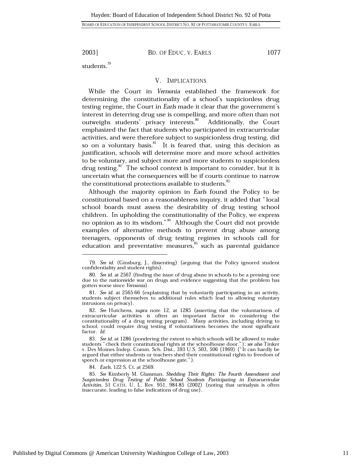BD. OF EDUC. V. EARLS

students. $79$ 

### V. IMPLICATIONS

While the Court in Vernonia established the framework for determining the constitutionality of a school's suspicionless drug testing regime, the Court in Earls made it clear that the government's interest in deterring drug use is compelling, and more often than not outweighs students' privacy interests.<sup>80</sup> Additionally, the Court emphasized the fact that students who participated in extracurricular activities, and were therefore subject to suspicionless drug testing, did so on a voluntary basis.<sup>81</sup> It is feared that, using this decision as justification, schools will determine more and more school activities to be voluntary, and subject more and more students to suspicionless drug testing. $82$  The school context is important to consider, but it is uncertain what the consequences will be if courts continue to narrow the constitutional protections available to students.<sup>83</sup>

Although the majority opinion in Earls found the Policy to be constitutional based on a reasonableness inquiry, it added that "local school boards must assess the desirability of drug testing school children. In upholding the constitutionality of the Policy, we express no opinion as to its wisdom."<sup>84</sup> Although the Court did not provide examples of alternative methods to prevent drug abuse among teenagers, opponents of drug testing regimes in schools call for education and preventative measures,<sup>85</sup> such as parental guidance

1077

<sup>79.</sup> See id. (Ginsburg, J., dissenting) (arguing that the Policy ignored student confidentiality and student rights).

<sup>80.</sup> See id. at 2567 (finding the issue of drug abuse in schools to be a pressing one due to the nationwide war on drugs and evidence suggesting that the problem has gotten worse since Vernonia).

<sup>81.</sup> See id. at 2565-66 (explaining that by voluntarily participating in an activity, students subject themselves to additional rules which lead to allowing voluntary intrusions on privacy).

<sup>82.</sup> See Hutchens, supra note 12, at 1285 (asserting that the voluntariness of extracurricular activities is often an important factor in considering the constitutionality of a drug testing program). Many activities, including driving to school, could require drug testing if voluntariness becomes the most significant factor. Id.

<sup>83.</sup> See id. at 1286 (pondering the extent to which schools will be allowed to make students "check their constitutional rights at the schoolhouse door."); see also Tinker v. Des Moines Indep. Comm. Sch. Dist., 393 U.S. 503, 506 (1969) ("It can hardly be argued that either students or teachers shed their constitutional rights to freedom of speech or expression at the schoolhouse gate.").

<sup>84.</sup> Earls, 122 S. Ct. at 2569.

<sup>85.</sup> See Kimberly M. Glassman, *Shedding Their Rights: The Fourth Amendment and Suspicionless Drug Testing of Public School Students Participating in Extracurricular Activities, 51 CATH. U. L. Rev. 951, 984-85 (2002) (notin* inaccurate, leading to false indications of drug use).